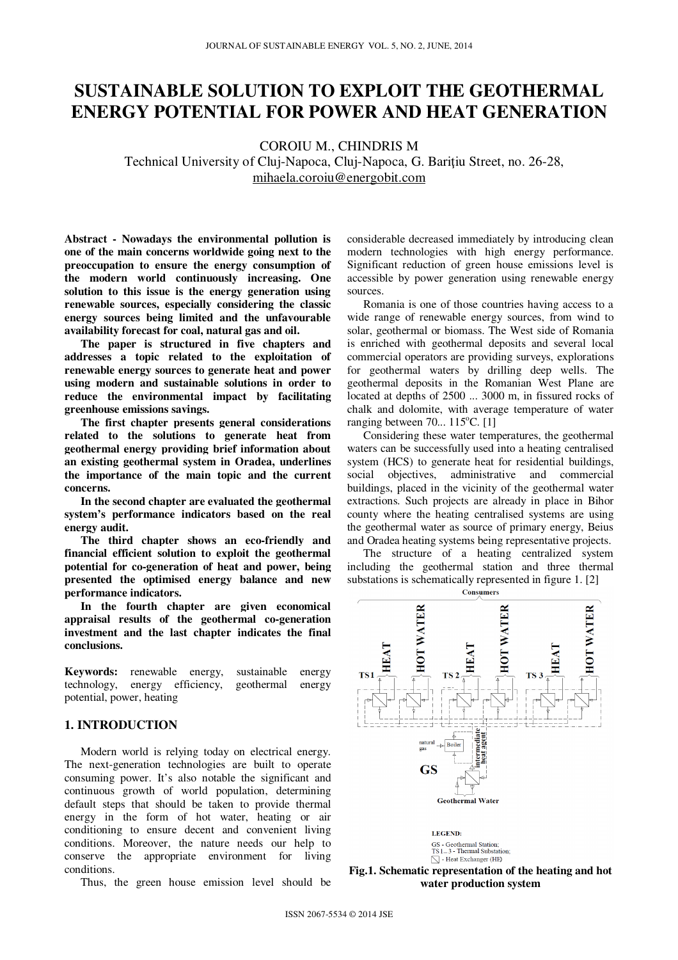# **SUSTAINABLE SOLUTION TO EXPLOIT THE GEOTHERMAL ENERGY POTENTIAL FOR POWER AND HEAT GENERATION**

COROIU M., CHINDRIS M

Technical University of Cluj-Napoca, Cluj-Napoca, G. Bariţiu Street, no. 26-28, mihaela.coroiu@energobit.com

**Abstract - Nowadays the environmental pollution is one of the main concerns worldwide going next to the preoccupation to ensure the energy consumption of the modern world continuously increasing. One solution to this issue is the energy generation using renewable sources, especially considering the classic energy sources being limited and the unfavourable availability forecast for coal, natural gas and oil.** 

**The paper is structured in five chapters and addresses a topic related to the exploitation of renewable energy sources to generate heat and power using modern and sustainable solutions in order to reduce the environmental impact by facilitating greenhouse emissions savings.** 

**The first chapter presents general considerations related to the solutions to generate heat from geothermal energy providing brief information about an existing geothermal system in Oradea, underlines the importance of the main topic and the current concerns.** 

**In the second chapter are evaluated the geothermal system's performance indicators based on the real energy audit.** 

**The third chapter shows an eco-friendly and financial efficient solution to exploit the geothermal potential for co-generation of heat and power, being presented the optimised energy balance and new performance indicators.** 

**In the fourth chapter are given economical appraisal results of the geothermal co-generation investment and the last chapter indicates the final conclusions.** 

**Keywords:** renewable energy, sustainable energy technology, energy efficiency, geothermal energy potential, power, heating

# **1. INTRODUCTION**

Modern world is relying today on electrical energy. The next-generation technologies are built to operate consuming power. It's also notable the significant and continuous growth of world population, determining default steps that should be taken to provide thermal energy in the form of hot water, heating or air conditioning to ensure decent and convenient living conditions. Moreover, the nature needs our help to conserve the appropriate environment for living conditions.

Thus, the green house emission level should be

considerable decreased immediately by introducing clean modern technologies with high energy performance. Significant reduction of green house emissions level is accessible by power generation using renewable energy sources.

Romania is one of those countries having access to a wide range of renewable energy sources, from wind to solar, geothermal or biomass. The West side of Romania is enriched with geothermal deposits and several local commercial operators are providing surveys, explorations for geothermal waters by drilling deep wells. The geothermal deposits in the Romanian West Plane are located at depths of 2500 ... 3000 m, in fissured rocks of chalk and dolomite, with average temperature of water ranging between  $70... 115$ °C. [1]

Considering these water temperatures, the geothermal waters can be successfully used into a heating centralised system (HCS) to generate heat for residential buildings, social objectives, administrative and commercial buildings, placed in the vicinity of the geothermal water extractions. Such projects are already in place in Bihor county where the heating centralised systems are using the geothermal water as source of primary energy, Beius and Oradea heating systems being representative projects.

The structure of a heating centralized system including the geothermal station and three thermal substations is schematically represented in figure 1. [2]





LEGEND: GS - Geothermal Station;<br>TS 1... 3 - Thermal Substation;  $\diagdown$  - Heat Exchanger (HE)

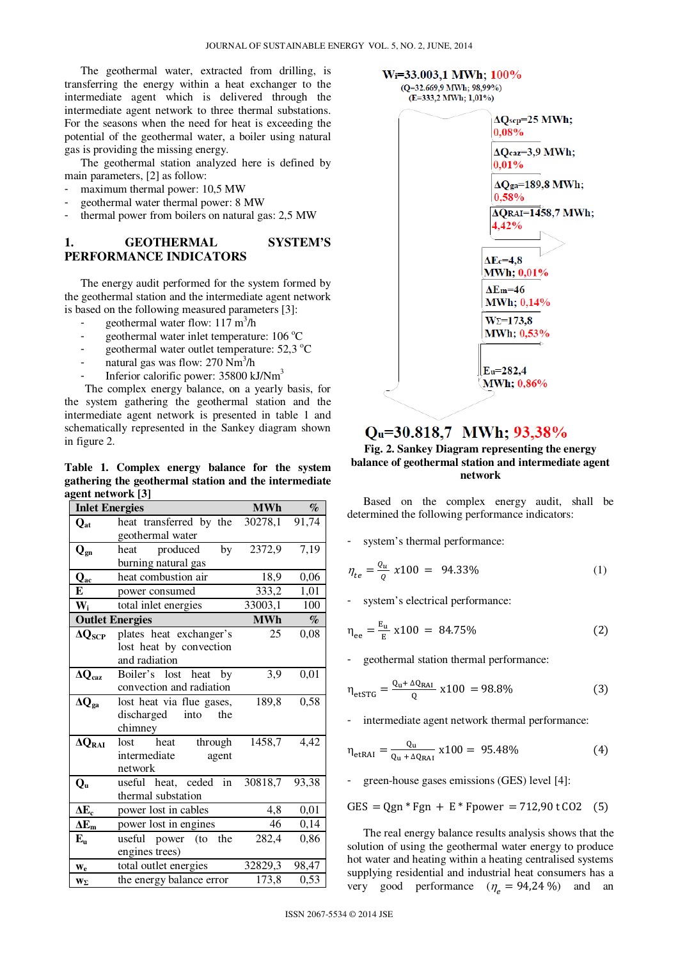The geothermal water, extracted from drilling, is transferring the energy within a heat exchanger to the intermediate agent which is delivered through the intermediate agent network to three thermal substations. For the seasons when the need for heat is exceeding the potential of the geothermal water, a boiler using natural gas is providing the missing energy.

The geothermal station analyzed here is defined by main parameters, [2] as follow:

- maximum thermal power: 10,5 MW
- geothermal water thermal power: 8 MW
- thermal power from boilers on natural gas: 2,5 MW

# **1. GEOTHERMAL SYSTEM'S PERFORMANCE INDICATORS**

The energy audit performed for the system formed by the geothermal station and the intermediate agent network is based on the following measured parameters [3]:

- geothermal water flow:  $117 \text{ m}^3/\text{h}$
- geothermal water inlet temperature:  $106^{\circ}$ C
- geothermal water outlet temperature:  $52.3 \text{ °C}$
- natural gas was flow: 270 Nm<sup>3</sup>/h
- Inferior calorific power: 35800 kJ/Nm<sup>3</sup>

The complex energy balance, on a yearly basis, for the system gathering the geothermal station and the intermediate agent network is presented in table 1 and schematically represented in the Sankey diagram shown in figure 2.

**Table 1. Complex energy balance for the system gathering the geothermal station and the intermediate agent network [3]** 

| <b>Inlet Energies</b>     |                                                                     | <b>MWh</b> | $\%$  |
|---------------------------|---------------------------------------------------------------------|------------|-------|
| $Q_{at}$                  | heat transferred by the<br>geothermal water                         | 30278,1    | 91,74 |
| $\mathbf{Q}_{\text{gn}}$  | heat produced<br>by<br>burning natural gas                          | 2372,9     | 7,19  |
| $\mathbf{Q}_\mathrm{ac}$  | heat combustion air                                                 | 18,9       | 0,06  |
| E                         | power consumed                                                      | 333,2      | 1,01  |
| $W_i$                     | total inlet energies                                                | 33003,1    | 100   |
|                           | <b>Outlet Energies</b>                                              | <b>MWh</b> | $\%$  |
| $\Delta Q_{\textrm{SCP}}$ | plates heat exchanger's<br>lost heat by convection<br>and radiation | 25         | 0,08  |
| $\Delta Q_{\rm{caz}}$     | Boiler's lost heat by<br>convection and radiation                   | 3,9        | 0,01  |
| $\Delta Q_{\rm ga}$       | lost heat via flue gases,<br>discharged<br>into<br>the<br>chimney   | 189,8      | 0,58  |
| $\Delta Q_{RAI}$          | lost heat<br>through<br>intermediate<br>agent<br>network            | 1458,7     | 4,42  |
| $Q_{u}$                   | useful heat, ceded in<br>thermal substation                         | 30818,7    | 93,38 |
| $\Delta E_c$              | power lost in cables                                                | 4,8        | 0,01  |
| $\Delta E_m$              | power lost in engines                                               | 46         | 0,14  |
| ${\bf E}_{\bf u}$         | useful power (to<br>the<br>engines trees)                           | 282,4      | 0,86  |
| $W_{e}$                   | total outlet energies                                               | 32829,3    | 98,47 |
| $\mathbf{w}_{\Sigma}$     | the energy balance error                                            | 173,8      | 0,53  |



# Qu=30.818,7 MWh; 93,38%

#### **Fig. 2. Sankey Diagram representing the energy balance of geothermal station and intermediate agent network**

Based on the complex energy audit, shall be determined the following performance indicators:

system's thermal performance:

$$
\eta_{te} = \frac{Q_u}{Q} x 100 = 94.33\% \tag{1}
$$

system's electrical performance:

$$
\eta_{ee} = \frac{E_u}{E} \times 100 = 84.75\% \tag{2}
$$

- geothermal station thermal performance:

$$
\eta_{\text{etSTG}} = \frac{Q_{\text{u}} + \Delta Q_{\text{RAI}}}{Q} \times 100 = 98.8\% \tag{3}
$$

intermediate agent network thermal performance:

$$
\eta_{\text{etRAI}} = \frac{Q_{\text{u}}}{Q_{\text{u}} + \Delta Q_{\text{RAI}}} \times 100 = 95.48\% \tag{4}
$$

green-house gases emissions (GES) level [4]:

$$
GES = Qgn * Fgn + E * Fpower = 712,90 t CO2 (5)
$$

The real energy balance results analysis shows that the solution of using the geothermal water energy to produce hot water and heating within a heating centralised systems supplying residential and industrial heat consumers has a very good performance  $(\eta_e = 94,24\%)$  and an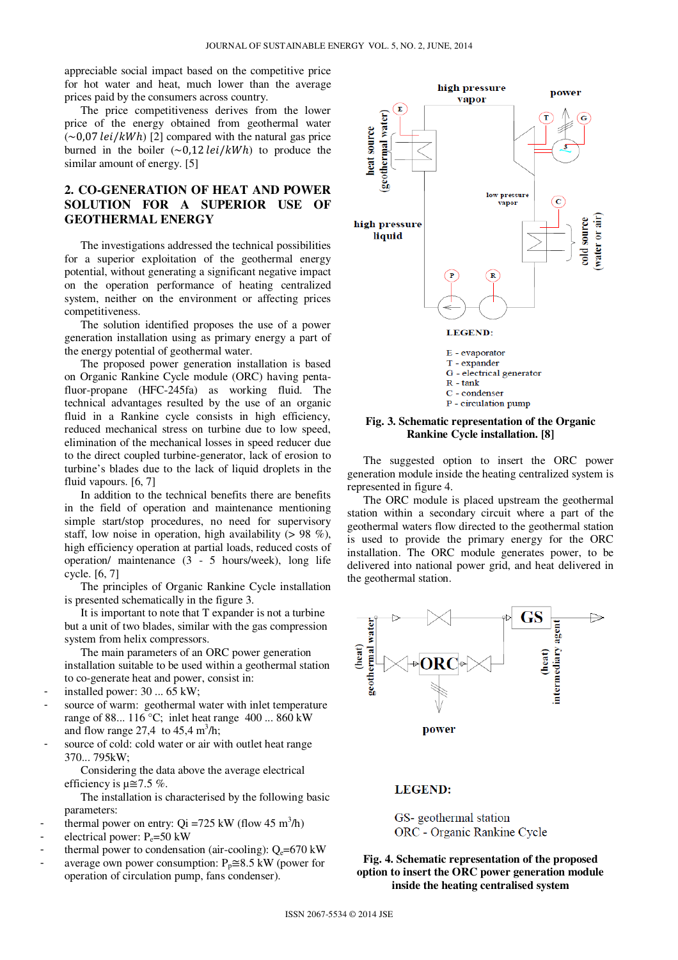appreciable social impact based on the competitive price for hot water and heat, much lower than the average prices paid by the consumers across country.

The price competitiveness derives from the lower price of the energy obtained from geothermal water  $(-0.07 \text{ lei}/kWh)$  [2] compared with the natural gas price burned in the boiler  $(\sim 0.12 \text{ lei}/kWh)$  to produce the similar amount of energy. [5]

# **2. CO-GENERATION OF HEAT AND POWER SOLUTION FOR A SUPERIOR USE OF GEOTHERMAL ENERGY**

The investigations addressed the technical possibilities for a superior exploitation of the geothermal energy potential, without generating a significant negative impact on the operation performance of heating centralized system, neither on the environment or affecting prices competitiveness.

The solution identified proposes the use of a power generation installation using as primary energy a part of the energy potential of geothermal water.

The proposed power generation installation is based on Organic Rankine Cycle module (ORC) having pentafluor-propane (HFC-245fa) as working fluid. The technical advantages resulted by the use of an organic fluid in a Rankine cycle consists in high efficiency, reduced mechanical stress on turbine due to low speed, elimination of the mechanical losses in speed reducer due to the direct coupled turbine-generator, lack of erosion to turbine's blades due to the lack of liquid droplets in the fluid vapours. [6, 7]

In addition to the technical benefits there are benefits in the field of operation and maintenance mentioning simple start/stop procedures, no need for supervisory staff, low noise in operation, high availability  $(> 98\%)$ . high efficiency operation at partial loads, reduced costs of operation/ maintenance (3 - 5 hours/week), long life cycle. [6, 7]

The principles of Organic Rankine Cycle installation is presented schematically in the figure 3.

It is important to note that T expander is not a turbine but a unit of two blades, similar with the gas compression system from helix compressors.

The main parameters of an ORC power generation installation suitable to be used within a geothermal station to co-generate heat and power, consist in:

- installed power:  $30 \dots 65$  kW;
- source of warm: geothermal water with inlet temperature range of 88...  $116^{\circ}$ C; inlet heat range 400 ... 860 kW and flow range 27,4 to  $45,4 \text{ m}^3/\text{h}$ ;
- source of cold: cold water or air with outlet heat range 370... 795kW;

Considering the data above the average electrical efficiency is  $\mu \approx 7.5$  %.

The installation is characterised by the following basic parameters:

- thermal power on entry:  $Qi = 725$  kW (flow 45 m<sup>3</sup>/h)
- electrical power:  $P_e = 50$  kW
- thermal power to condensation (air-cooling):  $Q_e$ =670 kW
- average own power consumption:  $P_p \cong 8.5$  kW (power for operation of circulation pump, fans condenser).



#### **Fig. 3. Schematic representation of the Organic Rankine Cycle installation. [8]**

The suggested option to insert the ORC power generation module inside the heating centralized system is represented in figure 4.

The ORC module is placed upstream the geothermal station within a secondary circuit where a part of the geothermal waters flow directed to the geothermal station is used to provide the primary energy for the ORC installation. The ORC module generates power, to be delivered into national power grid, and heat delivered in the geothermal station.



#### **LEGEND:**

# GS- geothermal station ORC - Organic Rankine Cycle

**Fig. 4. Schematic representation of the proposed option to insert the ORC power generation module inside the heating centralised system**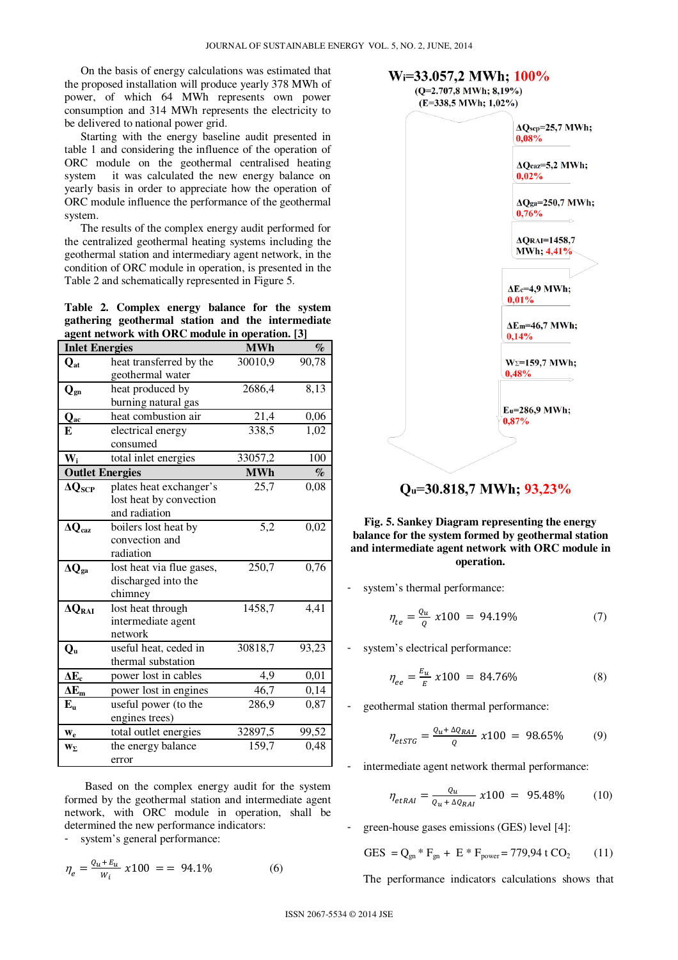On the basis of energy calculations was estimated that the proposed installation will produce yearly 378 MWh of power, of which 64 MWh represents own power consumption and 314 MWh represents the electricity to be delivered to national power grid.

Starting with the energy baseline audit presented in table 1 and considering the influence of the operation of ORC module on the geothermal centralised heating system it was calculated the new energy balance on yearly basis in order to appreciate how the operation of ORC module influence the performance of the geothermal system.

The results of the complex energy audit performed for the centralized geothermal heating systems including the geothermal station and intermediary agent network, in the condition of ORC module in operation, is presented in the Table 2 and schematically represented in Figure 5.

**Table 2. Complex energy balance for the system gathering geothermal station and the intermediate agent network with ORC module in operation. [3]** 

| <b>Inlet Energies</b>    |                           | <b>MWh</b>        | $\%$  |
|--------------------------|---------------------------|-------------------|-------|
| $Q_{at}$                 | heat transferred by the   | 30010,9           | 90,78 |
|                          | geothermal water          |                   |       |
| $\mathbf{Q}_{\text{gn}}$ | heat produced by          | 2686,4            | 8,13  |
|                          | burning natural gas       |                   |       |
| $\mathbf{Q}_{\text{ac}}$ | heat combustion air       | 21,4              | 0,06  |
| E                        | electrical energy         | 338,5             | 1,02  |
|                          | consumed                  |                   |       |
| $W_i$                    | total inlet energies      | 33057,2           | 100   |
| <b>Outlet Energies</b>   |                           | <b>MWh</b>        | $\%$  |
| $\Delta Q_{\rm{SCP}}$    | plates heat exchanger's   | $\overline{25,7}$ | 0,08  |
|                          | lost heat by convection   |                   |       |
|                          | and radiation             |                   |       |
| $\Delta Q_{\rm{caz}}$    | boilers lost heat by      | 5,2               | 0,02  |
|                          | convection and            |                   |       |
|                          | radiation                 |                   |       |
| $\Delta Q_{\rm ga}$      | lost heat via flue gases, | 250,7             | 0,76  |
|                          | discharged into the       |                   |       |
|                          | chimney                   |                   |       |
| $\Delta Q_{RAI}$         | lost heat through         | 1458,7            | 4,41  |
|                          | intermediate agent        |                   |       |
|                          | network                   |                   |       |
| $Q_{u}$                  | useful heat, ceded in     | 30818,7           | 93,23 |
|                          | thermal substation        |                   |       |
| $\Delta E_c$             | power lost in cables      | 4,9               | 0,01  |
| $\overline{\Delta E_m}$  | power lost in engines     | 46,7              | 0,14  |
| $E_{\rm u}$              | useful power (to the      | 286,9             | 0,87  |
|                          | engines trees)            |                   |       |
| $\mathbf{w}_{e}$         | total outlet energies     | 32897,5           | 99,52 |
| $W_{\Sigma}$             | the energy balance        | 159,7             | 0,48  |
|                          | error                     |                   |       |

Based on the complex energy audit for the system formed by the geothermal station and intermediate agent network, with ORC module in operation, shall be determined the new performance indicators:

system's general performance:

$$
\eta_e = \frac{Q_u + E_u}{W_i} \; \chi 100 \; = \; = \; 94.1\% \tag{6}
$$



Qu=30.818,7 MWh; 93,23%

## **Fig. 5. Sankey Diagram representing the energy balance for the system formed by geothermal station and intermediate agent network with ORC module in operation.**

system's thermal performance:

$$
\eta_{te} = \frac{\varrho_u}{\varrho} \; x 100 \; = \; 94.19\% \tag{7}
$$

system's electrical performance:

$$
\eta_{ee} = \frac{E_u}{E} \; x 100 = 84.76\% \tag{8}
$$

- geothermal station thermal performance:

$$
\eta_{\text{etSTG}} = \frac{Q_u + \Delta Q_{RAI}}{Q} \ x 100 = 98.65\% \tag{9}
$$

intermediate agent network thermal performance:

$$
\eta_{etRAI} = \frac{Q_u}{Q_u + \Delta Q_{RAI}} \times 100 = 95.48\% \tag{10}
$$

green-house gases emissions (GES) level [4]:

$$
GES = Qgn * Fgn + E * Fpower = 779,94 t CO2 (11)
$$

The performance indicators calculations shows that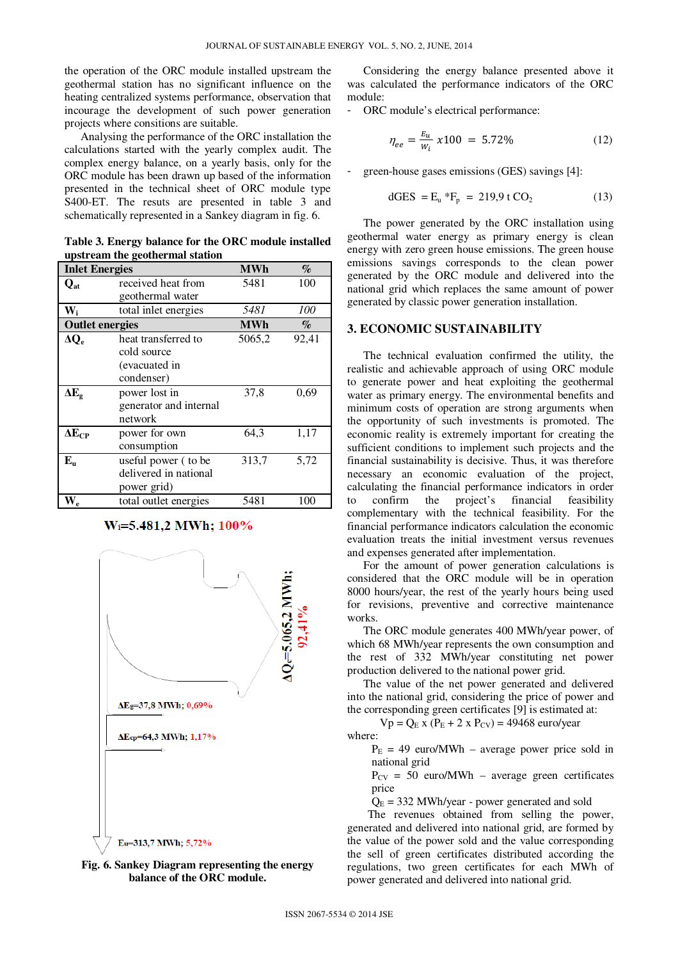the operation of the ORC module installed upstream the geothermal station has no significant influence on the heating centralized systems performance, observation that incourage the development of such power generation projects where consitions are suitable.

Analysing the performance of the ORC installation the calculations started with the yearly complex audit. The complex energy balance, on a yearly basis, only for the ORC module has been drawn up based of the information presented in the technical sheet of ORC module type S400-ET. The resuts are presented in table 3 and schematically represented in a Sankey diagram in fig. 6.

**Table 3. Energy balance for the ORC module installed upstream the geothermal station** 

| <b>Inlet Energies</b>     |                        | <b>MWh</b> | $\mathcal{O}_0$             |
|---------------------------|------------------------|------------|-----------------------------|
| $\mathbf{Q}_{\text{at}}$  | received heat from     | 5481       | 100                         |
|                           | geothermal water       |            |                             |
| $\mathbf{W}_{\mathbf{i}}$ | total inlet energies   | 5481       | <i>100</i>                  |
| <b>Outlet energies</b>    |                        | <b>MWh</b> | $\mathscr{A}_{\mathcal{O}}$ |
| $\Delta Q_e$              | heat transferred to    | 5065,2     | 92,41                       |
|                           | cold source            |            |                             |
|                           | (evacuated in          |            |                             |
|                           | condenser)             |            |                             |
| $\Delta E_{\rm g}$        | power lost in          | 37,8       | 0,69                        |
|                           | generator and internal |            |                             |
|                           | network                |            |                             |
| $\Delta E_{\mathrm{CP}}$  | power for own          | 64,3       | 1,17                        |
|                           | consumption            |            |                             |
| $E_{\rm u}$               | useful power (to be    | 313,7      | 5,72                        |
|                           | delivered in national  |            |                             |
|                           | power grid)            |            |                             |
| $N_{\rm e}$               | total outlet energies  | 5481       | 100                         |

## W<sub>i</sub>=5.481,2 MWh; 100%





Considering the energy balance presented above it was calculated the performance indicators of the ORC module:

- ORC module's electrical performance:

$$
\eta_{ee} = \frac{E_u}{W_i} \times 100 = 5.72\% \tag{12}
$$

green-house gases emissions (GES) savings [4]:

$$
dGES = E_{u} * F_{p} = 219.9 \text{ t } CO_{2}
$$
 (13)

The power generated by the ORC installation using geothermal water energy as primary energy is clean energy with zero green house emissions. The green house emissions savings corresponds to the clean power generated by the ORC module and delivered into the national grid which replaces the same amount of power generated by classic power generation installation.

#### **3. ECONOMIC SUSTAINABILITY**

The technical evaluation confirmed the utility, the realistic and achievable approach of using ORC module to generate power and heat exploiting the geothermal water as primary energy. The environmental benefits and minimum costs of operation are strong arguments when the opportunity of such investments is promoted. The economic reality is extremely important for creating the sufficient conditions to implement such projects and the financial sustainability is decisive. Thus, it was therefore necessary an economic evaluation of the project, calculating the financial performance indicators in order to confirm the project's financial feasibility complementary with the technical feasibility. For the financial performance indicators calculation the economic evaluation treats the initial investment versus revenues and expenses generated after implementation.

For the amount of power generation calculations is considered that the ORC module will be in operation 8000 hours/year, the rest of the yearly hours being used for revisions, preventive and corrective maintenance works.

The ORC module generates 400 MWh/year power, of which 68 MWh/year represents the own consumption and the rest of 332 MWh/year constituting net power production delivered to the national power grid.

The value of the net power generated and delivered into the national grid, considering the price of power and the corresponding green certificates [9] is estimated at:

 $Vp = Q_E x (P_E + 2 x P_{CV}) = 49468$  euro/year where:

 $P<sub>E</sub> = 49$  euro/MWh – average power price sold in national grid

 $P_{CV}$  = 50 euro/MWh – average green certificates price

 $Q_E = 332$  MWh/year - power generated and sold

The revenues obtained from selling the power, generated and delivered into national grid, are formed by the value of the power sold and the value corresponding the sell of green certificates distributed according the regulations, two green certificates for each MWh of power generated and delivered into national grid.